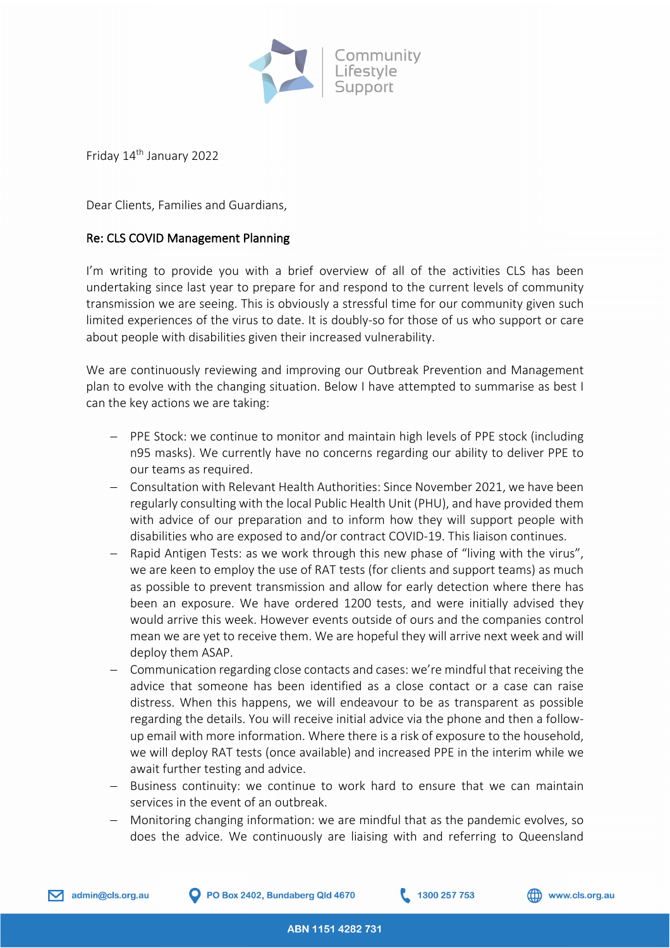

Friday 14th January 2022

Dear Clients, Families and Guardians,

## Re: CLS COVID Management Planning

I'm writing to provide you with a brief overview of all of the activities CLS has been undertaking since last year to prepare for and respond to the current levels of community transmission we are seeing. This is obviously a stressful time for our community given such limited experiences of the virus to date. It is doubly-so for those of us who support or care about people with disabilities given their increased vulnerability.

We are continuously reviewing and improving our Outbreak Prevention and Management plan to evolve with the changing situation. Below I have attempted to summarise as best I can the key actions we are taking:

- PPE Stock: we continue to monitor and maintain high levels of PPE stock (including n95 masks). We currently have no concerns regarding our ability to deliver PPE to our teams as required.
- Consultation with Relevant Health Authorities: Since November 2021, we have been regularly consulting with the local Public Health Unit (PHU), and have provided them with advice of our preparation and to inform how they will support people with disabilities who are exposed to and/or contract COVID-19. This liaison continues.
- Rapid Antigen Tests: as we work through this new phase of "living with the virus", we are keen to employ the use of RAT tests (for clients and support teams) as much as possible to prevent transmission and allow for early detection where there has been an exposure. We have ordered 1200 tests, and were initially advised they would arrive this week. However events outside of ours and the companies control mean we are yet to receive them. We are hopeful they will arrive next week and will deploy them ASAP.
- Communication regarding close contacts and cases: we're mindful that receiving the advice that someone has been identified as a close contact or a case can raise distress. When this happens, we will endeavour to be as transparent as possible regarding the details. You will receive initial advice via the phone and then a followup email with more information. Where there is a risk of exposure to the household, we will deploy RAT tests (once available) and increased PPE in the interim while we await further testing and advice.
- Business continuity: we continue to work hard to ensure that we can maintain services in the event of an outbreak.
- Monitoring changing information: we are mindful that as the pandemic evolves, so does the advice. We continuously are liaising with and referring to Queensland

1300 257 753